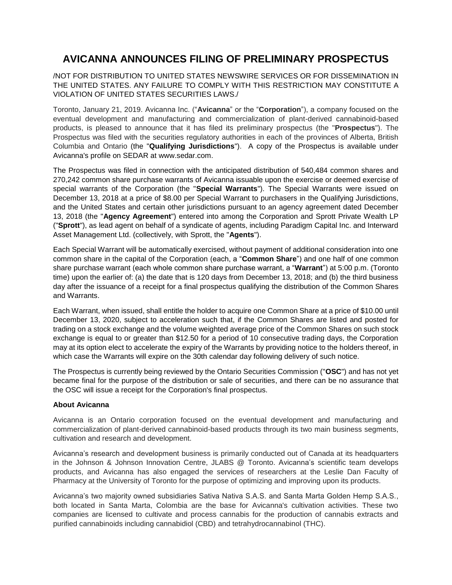## **AVICANNA ANNOUNCES FILING OF PRELIMINARY PROSPECTUS**

/NOT FOR DISTRIBUTION TO UNITED STATES NEWSWIRE SERVICES OR FOR DISSEMINATION IN THE UNITED STATES. ANY FAILURE TO COMPLY WITH THIS RESTRICTION MAY CONSTITUTE A VIOLATION OF UNITED STATES SECURITIES LAWS./

Toronto, January 21, 2019. Avicanna Inc. ("**Avicanna**" or the "**Corporation**"), a company focused on the eventual development and manufacturing and commercialization of plant-derived cannabinoid-based products, is pleased to announce that it has filed its preliminary prospectus (the "**Prospectus**"). The Prospectus was filed with the securities regulatory authorities in each of the provinces of Alberta, British Columbia and Ontario (the "**Qualifying Jurisdictions**"). A copy of the Prospectus is available under Avicanna's profile on SEDAR at www.sedar.com.

The Prospectus was filed in connection with the anticipated distribution of 540,484 common shares and 270,242 common share purchase warrants of Avicanna issuable upon the exercise or deemed exercise of special warrants of the Corporation (the "**Special Warrants**"). The Special Warrants were issued on December 13, 2018 at a price of \$8.00 per Special Warrant to purchasers in the Qualifying Jurisdictions, and the United States and certain other jurisdictions pursuant to an agency agreement dated December 13, 2018 (the "**Agency Agreement**") entered into among the Corporation and Sprott Private Wealth LP ("**Sprott**"), as lead agent on behalf of a syndicate of agents, including Paradigm Capital Inc. and Interward Asset Management Ltd. (collectively, with Sprott, the "**Agents**").

Each Special Warrant will be automatically exercised, without payment of additional consideration into one common share in the capital of the Corporation (each, a "**Common Share**") and one half of one common share purchase warrant (each whole common share purchase warrant, a "**Warrant**") at 5:00 p.m. (Toronto time) upon the earlier of: (a) the date that is 120 days from December 13, 2018; and (b) the third business day after the issuance of a receipt for a final prospectus qualifying the distribution of the Common Shares and Warrants.

Each Warrant, when issued, shall entitle the holder to acquire one Common Share at a price of \$10.00 until December 13, 2020, subject to acceleration such that, if the Common Shares are listed and posted for trading on a stock exchange and the volume weighted average price of the Common Shares on such stock exchange is equal to or greater than \$12.50 for a period of 10 consecutive trading days, the Corporation may at its option elect to accelerate the expiry of the Warrants by providing notice to the holders thereof, in which case the Warrants will expire on the 30th calendar day following delivery of such notice.

The Prospectus is currently being reviewed by the Ontario Securities Commission ("**OSC**") and has not yet became final for the purpose of the distribution or sale of securities, and there can be no assurance that the OSC will issue a receipt for the Corporation's final prospectus.

## **About Avicanna**

Avicanna is an Ontario corporation focused on the eventual development and manufacturing and commercialization of plant-derived cannabinoid-based products through its two main business segments, cultivation and research and development.

Avicanna's research and development business is primarily conducted out of Canada at its headquarters in the Johnson & Johnson Innovation Centre, JLABS @ Toronto. Avicanna's scientific team develops products, and Avicanna has also engaged the services of researchers at the Leslie Dan Faculty of Pharmacy at the University of Toronto for the purpose of optimizing and improving upon its products.

Avicanna's two majority owned subsidiaries Sativa Nativa S.A.S. and Santa Marta Golden Hemp S.A.S., both located in Santa Marta, Colombia are the base for Avicanna's cultivation activities. These two companies are licensed to cultivate and process cannabis for the production of cannabis extracts and purified cannabinoids including cannabidiol (CBD) and tetrahydrocannabinol (THC).